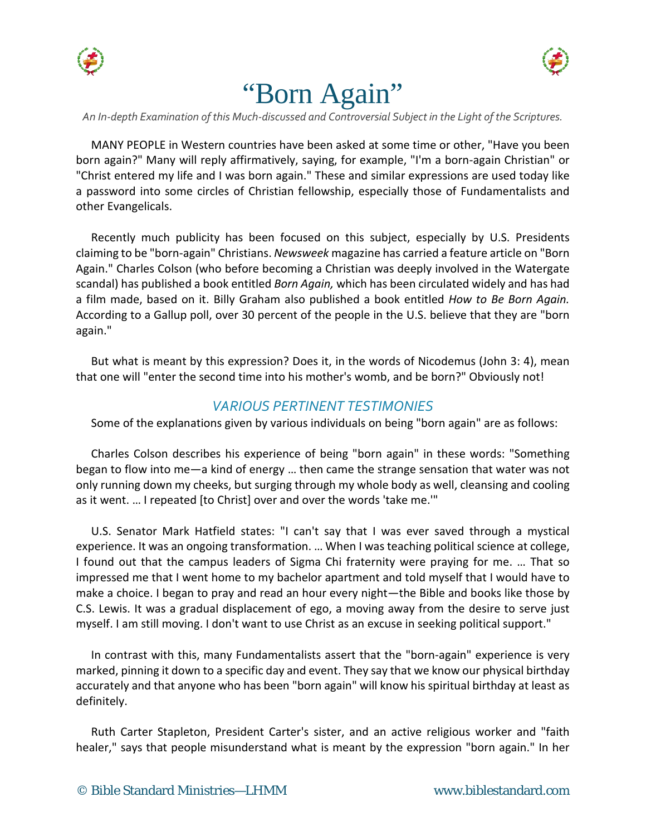



# "Born Again"

*An In-depth Examination of this Much-discussed and Controversial Subject in the Light of the Scriptures.*

MANY PEOPLE in Western countries have been asked at some time or other, "Have you been born again?" Many will reply affirmatively, saying, for example, "I'm a born-again Christian" or "Christ entered my life and I was born again." These and similar expressions are used today like a password into some circles of Christian fellowship, especially those of Fundamentalists and other Evangelicals.

Recently much publicity has been focused on this subject, especially by U.S. Presidents claiming to be "born-again" Christians. *Newsweek* magazine has carried a feature article on "Born Again." Charles Colson (who before becoming a Christian was deeply involved in the Watergate scandal) has published a book entitled *Born Again,* which has been circulated widely and has had a film made, based on it. Billy Graham also published a book entitled *How to Be Born Again.*  According to a Gallup poll, over 30 percent of the people in the U.S. believe that they are "born again."

But what is meant by this expression? Does it, in the words of Nicodemus (John 3: 4), mean that one will "enter the second time into his mother's womb, and be born?" Obviously not!

#### *VARIOUS PERTINENT TESTIMONIES*

Some of the explanations given by various individuals on being "born again" are as follows:

Charles Colson describes his experience of being "born again" in these words: "Something began to flow into me—a kind of energy … then came the strange sensation that water was not only running down my cheeks, but surging through my whole body as well, cleansing and cooling as it went. … I repeated [to Christ] over and over the words 'take me.'"

U.S. Senator Mark Hatfield states: "I can't say that I was ever saved through a mystical experience. It was an ongoing transformation. … When I was teaching political science at college, I found out that the campus leaders of Sigma Chi fraternity were praying for me. … That so impressed me that I went home to my bachelor apartment and told myself that I would have to make a choice. I began to pray and read an hour every night—the Bible and books like those by C.S. Lewis. It was a gradual displacement of ego, a moving away from the desire to serve just myself. I am still moving. I don't want to use Christ as an excuse in seeking political support."

In contrast with this, many Fundamentalists assert that the "born-again" experience is very marked, pinning it down to a specific day and event. They say that we know our physical birthday accurately and that anyone who has been "born again" will know his spiritual birthday at least as definitely.

Ruth Carter Stapleton, President Carter's sister, and an active religious worker and "faith healer," says that people misunderstand what is meant by the expression "born again." In her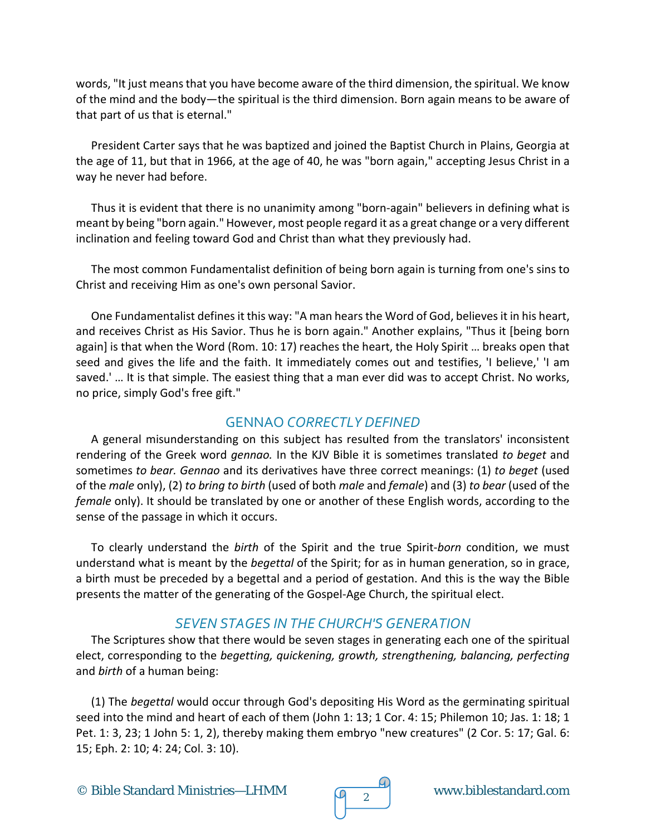words, "It just means that you have become aware of the third dimension, the spiritual. We know of the mind and the body—the spiritual is the third dimension. Born again means to be aware of that part of us that is eternal."

President Carter says that he was baptized and joined the Baptist Church in Plains, Georgia at the age of 11, but that in 1966, at the age of 40, he was "born again," accepting Jesus Christ in a way he never had before.

Thus it is evident that there is no unanimity among "born-again" believers in defining what is meant by being "born again." However, most people regard it as a great change or a very different inclination and feeling toward God and Christ than what they previously had.

The most common Fundamentalist definition of being born again is turning from one's sins to Christ and receiving Him as one's own personal Savior.

One Fundamentalist defines it this way: "A man hears the Word of God, believes it in his heart, and receives Christ as His Savior. Thus he is born again." Another explains, "Thus it [being born again] is that when the Word (Rom. 10: 17) reaches the heart, the Holy Spirit … breaks open that seed and gives the life and the faith. It immediately comes out and testifies, 'I believe,' 'I am saved.' … It is that simple. The easiest thing that a man ever did was to accept Christ. No works, no price, simply God's free gift."

## GENNAO *CORRECTLY DEFINED*

A general misunderstanding on this subject has resulted from the translators' inconsistent rendering of the Greek word *gennao.* In the KJV Bible it is sometimes translated *to beget* and sometimes *to bear. Gennao* and its derivatives have three correct meanings: (1) *to beget* (used of the *male* only), (2) *to bring to birth* (used of both *male* and *female*) and (3) *to bear* (used of the *female* only). It should be translated by one or another of these English words, according to the sense of the passage in which it occurs.

To clearly understand the *birth* of the Spirit and the true Spirit-*born* condition, we must understand what is meant by the *begettal* of the Spirit; for as in human generation, so in grace, a birth must be preceded by a begettal and a period of gestation. And this is the way the Bible presents the matter of the generating of the Gospel-Age Church, the spiritual elect.

## *SEVEN STAGES IN THE CHURCH'S GENERATION*

The Scriptures show that there would be seven stages in generating each one of the spiritual elect, corresponding to the *begetting, quickening, growth, strengthening, balancing, perfecting*  and *birth* of a human being:

(1) The *begettal* would occur through God's depositing His Word as the germinating spiritual seed into the mind and heart of each of them (John 1: 13; 1 Cor. 4: 15; Philemon 10; Jas. 1: 18; 1 Pet. 1: 3, 23; 1 John 5: 1, 2), thereby making them embryo "new creatures" (2 Cor. 5: 17; Gal. 6: 15; Eph. 2: 10; 4: 24; Col. 3: 10).

© Bible Standard Ministries—LHMM  $\sqrt{9}$  2 www.biblestandard.com

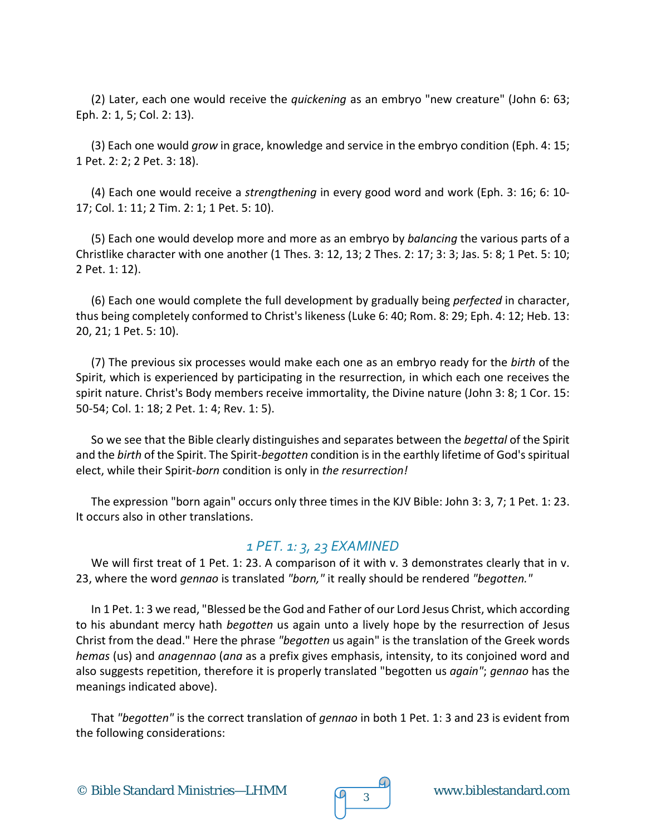(2) Later, each one would receive the *quickening* as an embryo "new creature" (John 6: 63; Eph. 2: 1, 5; Col. 2: 13).

(3) Each one would *grow* in grace, knowledge and service in the embryo condition (Eph. 4: 15; 1 Pet. 2: 2; 2 Pet. 3: 18).

(4) Each one would receive a *strengthening* in every good word and work (Eph. 3: 16; 6: 10- 17; Col. 1: 11; 2 Tim. 2: 1; 1 Pet. 5: 10).

(5) Each one would develop more and more as an embryo by *balancing* the various parts of a Christlike character with one another (1 Thes. 3: 12, 13; 2 Thes. 2: 17; 3: 3; Jas. 5: 8; 1 Pet. 5: 10; 2 Pet. 1: 12).

(6) Each one would complete the full development by gradually being *perfected* in character, thus being completely conformed to Christ's likeness (Luke 6: 40; Rom. 8: 29; Eph. 4: 12; Heb. 13: 20, 21; 1 Pet. 5: 10).

(7) The previous six processes would make each one as an embryo ready for the *birth* of the Spirit, which is experienced by participating in the resurrection, in which each one receives the spirit nature. Christ's Body members receive immortality, the Divine nature (John 3: 8; 1 Cor. 15: 50-54; Col. 1: 18; 2 Pet. 1: 4; Rev. 1: 5).

So we see that the Bible clearly distinguishes and separates between the *begettal* of the Spirit and the *birth* of the Spirit. The Spirit*-begotten* condition is in the earthly lifetime of God's spiritual elect, while their Spirit-*born* condition is only in *the resurrection!*

The expression "born again" occurs only three times in the KJV Bible: John 3: 3, 7; 1 Pet. 1: 23. It occurs also in other translations.

#### *1 PET. 1: 3, 23 EXAMINED*

We will first treat of 1 Pet. 1: 23. A comparison of it with v. 3 demonstrates clearly that in v. 23, where the word *gennao* is translated *"born,"* it really should be rendered *"begotten."*

In 1 Pet. 1: 3 we read, "Blessed be the God and Father of our Lord Jesus Christ, which according to his abundant mercy hath *begotten* us again unto a lively hope by the resurrection of Jesus Christ from the dead." Here the phrase *"begotten* us again" is the translation of the Greek words *hemas* (us) and *anagennao* (*ana* as a prefix gives emphasis, intensity, to its conjoined word and also suggests repetition, therefore it is properly translated "begotten us *again"*; *gennao* has the meanings indicated above).

That *"begotten"* is the correct translation of *gennao* in both 1 Pet. 1: 3 and 23 is evident from the following considerations:

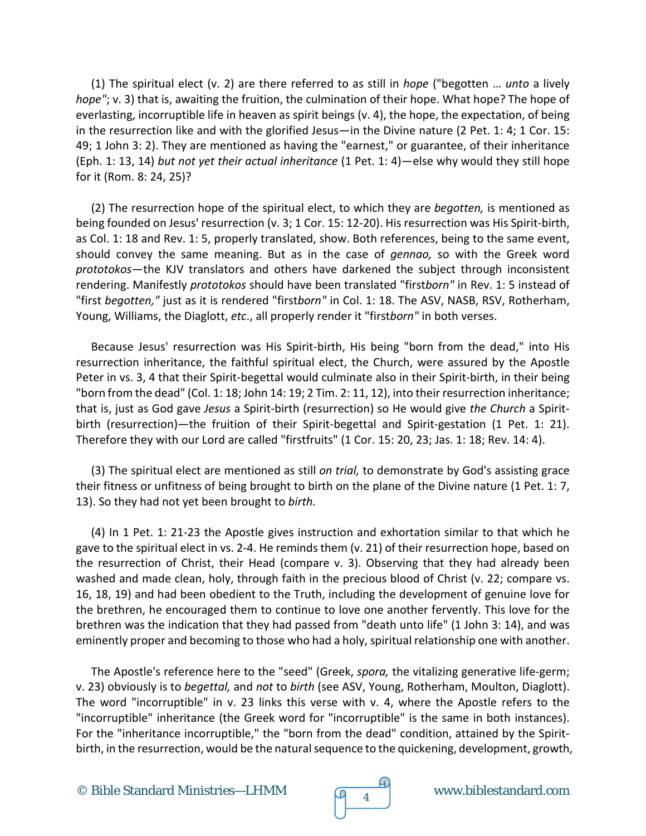(1) The spiritual elect (v. 2) are there referred to as still in *hope* ("begotten … *unto* a lively *hope"*; v. 3) that is, awaiting the fruition, the culmination of their hope. What hope? The hope of everlasting, incorruptible life in heaven as spirit beings (v. 4), the hope, the expectation, of being in the resurrection like and with the glorified Jesus—in the Divine nature (2 Pet. 1: 4; 1 Cor. 15: 49; 1 John 3: 2). They are mentioned as having the "earnest," or guarantee, of their inheritance (Eph. 1: 13, 14) *but not yet their actual inheritance* (1 Pet. 1: 4)—else why would they still hope for it (Rom. 8: 24, 25)?

(2) The resurrection hope of the spiritual elect, to which they are *begotten,* is mentioned as being founded on Jesus' resurrection (v. 3; 1 Cor. 15: 12-20). His resurrection was His Spirit-birth, as Col. 1: 18 and Rev. 1: 5, properly translated, show. Both references, being to the same event, should convey the same meaning. But as in the case of *gennao,* so with the Greek word *prototokos*—the KJV translators and others have darkened the subject through inconsistent rendering. Manifestly *prototokos* should have been translated "first*born"* in Rev. 1: 5 instead of "first *begotten,"* just as it is rendered "first*born"* in Col. 1: 18. The ASV, NASB, RSV, Rotherham, Young, Williams, the Diaglott, *etc*., all properly render it "first*born"* in both verses.

Because Jesus' resurrection was His Spirit-birth, His being "born from the dead," into His resurrection inheritance, the faithful spiritual elect, the Church, were assured by the Apostle Peter in vs. 3, 4 that their Spirit-begettal would culminate also in their Spirit-birth, in their being "born from the dead" (Col. 1: 18; John 14: 19; 2 Tim. 2: 11, 12), into their resurrection inheritance; that is, just as God gave *Jesus* a Spirit-birth (resurrection) so He would give *the Church* a Spiritbirth (resurrection)—the fruition of their Spirit-begettal and Spirit-gestation (1 Pet. 1: 21). Therefore they with our Lord are called "firstfruits" (1 Cor. 15: 20, 23; Jas. 1: 18; Rev. 14: 4).

(3) The spiritual elect are mentioned as still *on trial,* to demonstrate by God's assisting grace their fitness or unfitness of being brought to birth on the plane of the Divine nature (1 Pet. 1: 7, 13). So they had not yet been brought to *birth.*

(4) In 1 Pet. 1: 21-23 the Apostle gives instruction and exhortation similar to that which he gave to the spiritual elect in vs. 2-4. He reminds them (v. 21) of their resurrection hope, based on the resurrection of Christ, their Head (compare v. 3). Observing that they had already been washed and made clean, holy, through faith in the precious blood of Christ (v. 22; compare vs. 16, 18, 19) and had been obedient to the Truth, including the development of genuine love for the brethren, he encouraged them to continue to love one another fervently. This love for the brethren was the indication that they had passed from "death unto life" (1 John 3: 14), and was eminently proper and becoming to those who had a holy, spiritual relationship one with another.

The Apostle's reference here to the "seed" (Greek, *spora,* the vitalizing generative life-germ; v. 23) obviously is to *begettal,* and *not* to *birth* (see ASV, Young, Rotherham, Moulton, Diaglott). The word "incorruptible" in v. 23 links this verse with v. 4, where the Apostle refers to the "incorruptible" inheritance (the Greek word for "incorruptible" is the same in both instances). For the "inheritance incorruptible," the "born from the dead" condition, attained by the Spiritbirth, in the resurrection, would be the natural sequence to the quickening, development, growth,

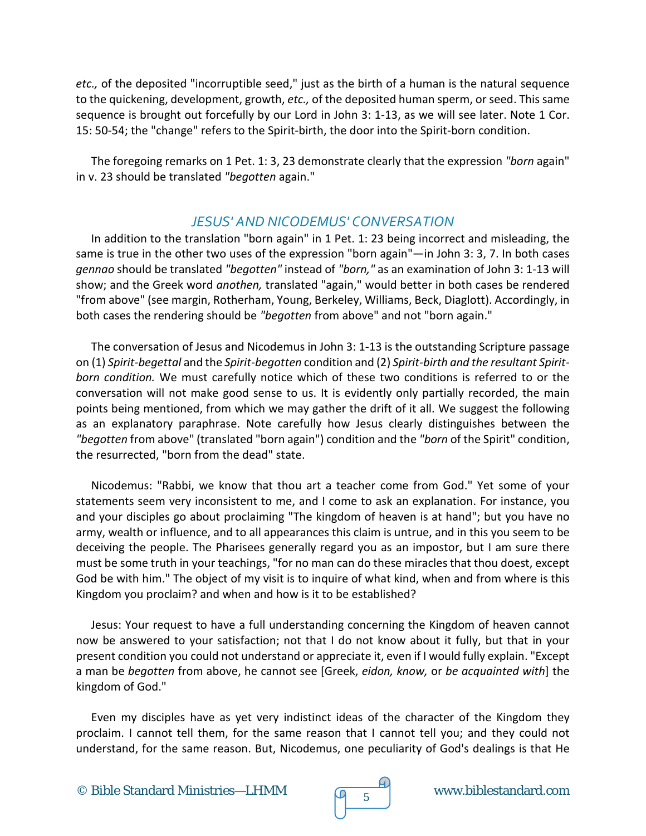*etc.,* of the deposited "incorruptible seed," just as the birth of a human is the natural sequence to the quickening, development, growth, *etc.,* of the deposited human sperm, or seed. This same sequence is brought out forcefully by our Lord in John 3: 1-13, as we will see later. Note 1 Cor. 15: 50-54; the "change" refers to the Spirit-birth, the door into the Spirit-born condition.

The foregoing remarks on 1 Pet. 1: 3, 23 demonstrate clearly that the expression *"born* again" in v. 23 should be translated *"begotten* again."

# *JESUS' AND NICODEMUS' CONVERSATION*

In addition to the translation "born again" in 1 Pet. 1: 23 being incorrect and misleading, the same is true in the other two uses of the expression "born again"—in John 3: 3, 7. In both cases *gennao* should be translated *"begotten"* instead of *"born,"* as an examination of John 3: 1-13 will show; and the Greek word *anothen,* translated "again," would better in both cases be rendered "from above" (see margin, Rotherham, Young, Berkeley, Williams, Beck, Diaglott). Accordingly, in both cases the rendering should be *"begotten* from above" and not "born again."

The conversation of Jesus and Nicodemus in John 3: 1-13 is the outstanding Scripture passage on (1) *Spirit-begettal* and the *Spirit-begotten* condition and (2) *Spirit-birth and the resultant Spiritborn condition.* We must carefully notice which of these two conditions is referred to or the conversation will not make good sense to us. It is evidently only partially recorded, the main points being mentioned, from which we may gather the drift of it all. We suggest the following as an explanatory paraphrase. Note carefully how Jesus clearly distinguishes between the *"begotten* from above" (translated "born again") condition and the *"born* of the Spirit" condition, the resurrected, "born from the dead" state.

Nicodemus: "Rabbi, we know that thou art a teacher come from God." Yet some of your statements seem very inconsistent to me, and I come to ask an explanation. For instance, you and your disciples go about proclaiming "The kingdom of heaven is at hand"; but you have no army, wealth or influence, and to all appearances this claim is untrue, and in this you seem to be deceiving the people. The Pharisees generally regard you as an impostor, but I am sure there must be some truth in your teachings, "for no man can do these miracles that thou doest, except God be with him." The object of my visit is to inquire of what kind, when and from where is this Kingdom you proclaim? and when and how is it to be established?

Jesus: Your request to have a full understanding concerning the Kingdom of heaven cannot now be answered to your satisfaction; not that I do not know about it fully, but that in your present condition you could not understand or appreciate it, even if I would fully explain. "Except a man be *begotten* from above, he cannot see [Greek, *eidon, know,* or *be acquainted with*] the kingdom of God."

Even my disciples have as yet very indistinct ideas of the character of the Kingdom they proclaim. I cannot tell them, for the same reason that I cannot tell you; and they could not understand, for the same reason. But, Nicodemus, one peculiarity of God's dealings is that He



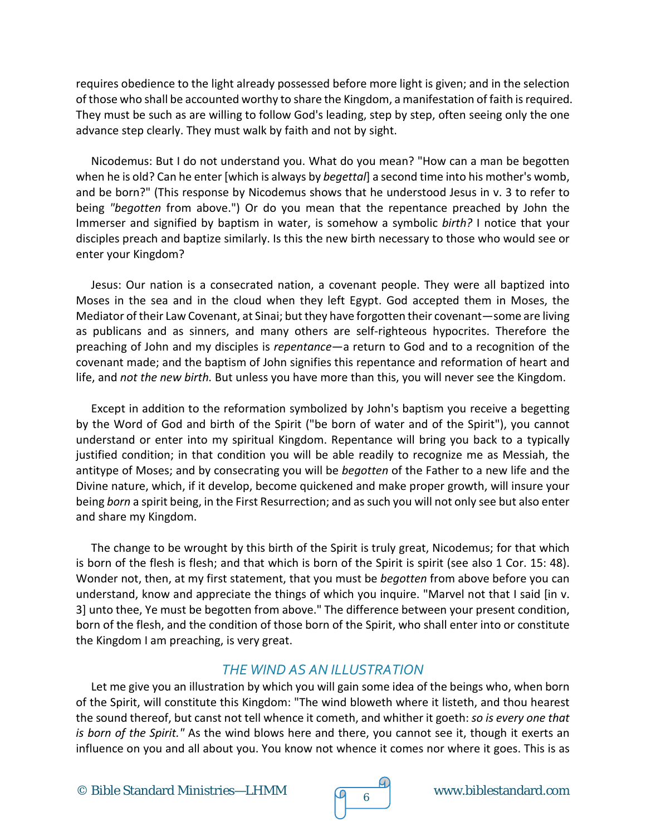requires obedience to the light already possessed before more light is given; and in the selection of those who shall be accounted worthy to share the Kingdom, a manifestation of faith is required. They must be such as are willing to follow God's leading, step by step, often seeing only the one advance step clearly. They must walk by faith and not by sight.

Nicodemus: But I do not understand you. What do you mean? "How can a man be begotten when he is old? Can he enter [which is always by *begettal*] a second time into his mother's womb, and be born?" (This response by Nicodemus shows that he understood Jesus in v. 3 to refer to being *"begotten* from above.") Or do you mean that the repentance preached by John the Immerser and signified by baptism in water, is somehow a symbolic *birth?* I notice that your disciples preach and baptize similarly. Is this the new birth necessary to those who would see or enter your Kingdom?

Jesus: Our nation is a consecrated nation, a covenant people. They were all baptized into Moses in the sea and in the cloud when they left Egypt. God accepted them in Moses, the Mediator of their Law Covenant, at Sinai; but they have forgotten their covenant—some are living as publicans and as sinners, and many others are self-righteous hypocrites. Therefore the preaching of John and my disciples is *repentance*—a return to God and to a recognition of the covenant made; and the baptism of John signifies this repentance and reformation of heart and life, and *not the new birth.* But unless you have more than this, you will never see the Kingdom.

Except in addition to the reformation symbolized by John's baptism you receive a begetting by the Word of God and birth of the Spirit ("be born of water and of the Spirit"), you cannot understand or enter into my spiritual Kingdom. Repentance will bring you back to a typically justified condition; in that condition you will be able readily to recognize me as Messiah, the antitype of Moses; and by consecrating you will be *begotten* of the Father to a new life and the Divine nature, which, if it develop, become quickened and make proper growth, will insure your being *born* a spirit being, in the First Resurrection; and as such you will not only see but also enter and share my Kingdom.

The change to be wrought by this birth of the Spirit is truly great, Nicodemus; for that which is born of the flesh is flesh; and that which is born of the Spirit is spirit (see also 1 Cor. 15: 48). Wonder not, then, at my first statement, that you must be *begotten* from above before you can understand, know and appreciate the things of which you inquire. "Marvel not that I said [in v. 3] unto thee, Ye must be begotten from above." The difference between your present condition, born of the flesh, and the condition of those born of the Spirit, who shall enter into or constitute the Kingdom I am preaching, is very great.

# *THE WIND AS AN ILLUSTRATION*

Let me give you an illustration by which you will gain some idea of the beings who, when born of the Spirit, will constitute this Kingdom: "The wind bloweth where it listeth, and thou hearest the sound thereof, but canst not tell whence it cometh, and whither it goeth: *so is every one that is born of the Spirit."* As the wind blows here and there, you cannot see it, though it exerts an influence on you and all about you. You know not whence it comes nor where it goes. This is as

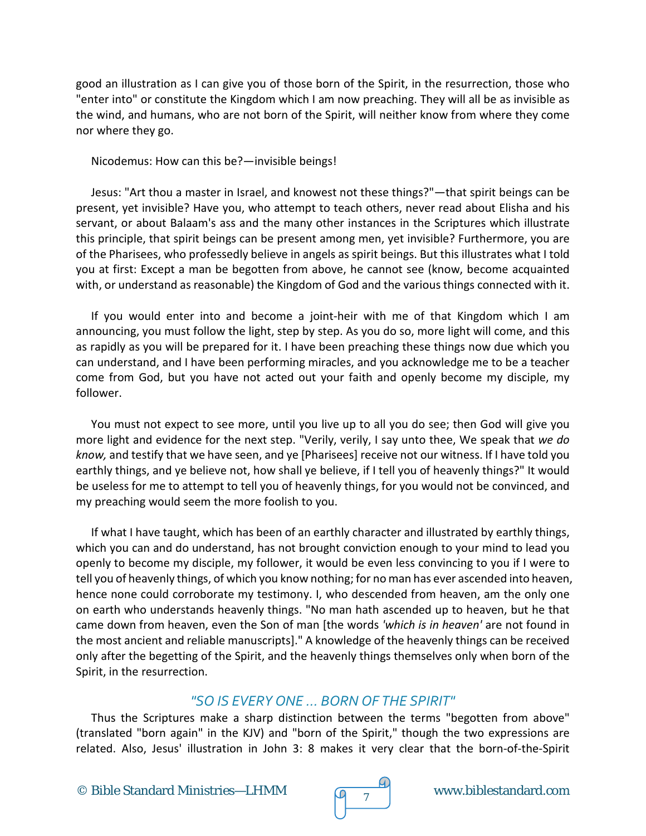good an illustration as I can give you of those born of the Spirit, in the resurrection, those who "enter into" or constitute the Kingdom which I am now preaching. They will all be as invisible as the wind, and humans, who are not born of the Spirit, will neither know from where they come nor where they go.

Nicodemus: How can this be?—invisible beings!

Jesus: "Art thou a master in Israel, and knowest not these things?"—that spirit beings can be present, yet invisible? Have you, who attempt to teach others, never read about Elisha and his servant, or about Balaam's ass and the many other instances in the Scriptures which illustrate this principle, that spirit beings can be present among men, yet invisible? Furthermore, you are of the Pharisees, who professedly believe in angels as spirit beings. But this illustrates what I told you at first: Except a man be begotten from above, he cannot see (know, become acquainted with, or understand as reasonable) the Kingdom of God and the various things connected with it.

If you would enter into and become a joint-heir with me of that Kingdom which I am announcing, you must follow the light, step by step. As you do so, more light will come, and this as rapidly as you will be prepared for it. I have been preaching these things now due which you can understand, and I have been performing miracles, and you acknowledge me to be a teacher come from God, but you have not acted out your faith and openly become my disciple, my follower.

You must not expect to see more, until you live up to all you do see; then God will give you more light and evidence for the next step. "Verily, verily, I say unto thee, We speak that *we do know,* and testify that we have seen, and ye [Pharisees] receive not our witness. If I have told you earthly things, and ye believe not, how shall ye believe, if I tell you of heavenly things?" It would be useless for me to attempt to tell you of heavenly things, for you would not be convinced, and my preaching would seem the more foolish to you.

If what I have taught, which has been of an earthly character and illustrated by earthly things, which you can and do understand, has not brought conviction enough to your mind to lead you openly to become my disciple, my follower, it would be even less convincing to you if I were to tell you of heavenly things, of which you know nothing; for no man has ever ascended into heaven, hence none could corroborate my testimony. I, who descended from heaven, am the only one on earth who understands heavenly things. "No man hath ascended up to heaven, but he that came down from heaven, even the Son of man [the words *'which is in heaven'* are not found in the most ancient and reliable manuscripts]." A knowledge of the heavenly things can be received only after the begetting of the Spirit, and the heavenly things themselves only when born of the Spirit, in the resurrection.

# *"SO IS EVERY ONE … BORN OF THE SPIRIT"*

Thus the Scriptures make a sharp distinction between the terms "begotten from above" (translated "born again" in the KJV) and "born of the Spirit," though the two expressions are related. Also, Jesus' illustration in John 3: 8 makes it very clear that the born-of-the-Spirit

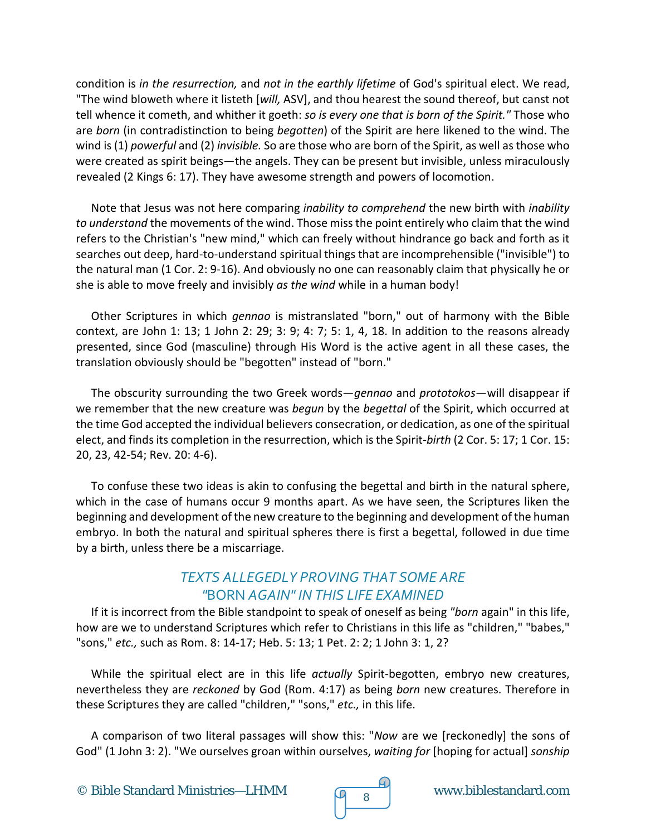condition is *in the resurrection,* and *not in the earthly lifetime* of God's spiritual elect. We read, "The wind bloweth where it listeth [*will,* ASV], and thou hearest the sound thereof, but canst not tell whence it cometh, and whither it goeth: *so is every one that is born of the Spirit."* Those who are *born* (in contradistinction to being *begotten*) of the Spirit are here likened to the wind. The wind is (1) *powerful* and (2) *invisible.* So are those who are born of the Spirit, as well as those who were created as spirit beings—the angels. They can be present but invisible, unless miraculously revealed (2 Kings 6: 17). They have awesome strength and powers of locomotion.

Note that Jesus was not here comparing *inability to comprehend* the new birth with *inability to understand* the movements of the wind. Those miss the point entirely who claim that the wind refers to the Christian's "new mind," which can freely without hindrance go back and forth as it searches out deep, hard-to-understand spiritual things that are incomprehensible ("invisible") to the natural man (1 Cor. 2: 9-16). And obviously no one can reasonably claim that physically he or she is able to move freely and invisibly *as the wind* while in a human body!

Other Scriptures in which *gennao* is mistranslated "born," out of harmony with the Bible context, are John 1: 13; 1 John 2: 29; 3: 9; 4: 7; 5: 1, 4, 18. In addition to the reasons already presented, since God (masculine) through His Word is the active agent in all these cases, the translation obviously should be "begotten" instead of "born."

The obscurity surrounding the two Greek words—*gennao* and *prototokos*—will disappear if we remember that the new creature was *begun* by the *begettal* of the Spirit, which occurred at the time God accepted the individual believers consecration, or dedication, as one of the spiritual elect, and finds its completion in the resurrection, which is the Spirit-*birth* (2 Cor. 5: 17; 1 Cor. 15: 20, 23, 42-54; Rev. 20: 4-6).

To confuse these two ideas is akin to confusing the begettal and birth in the natural sphere, which in the case of humans occur 9 months apart. As we have seen, the Scriptures liken the beginning and development of the new creature to the beginning and development of the human embryo. In both the natural and spiritual spheres there is first a begettal, followed in due time by a birth, unless there be a miscarriage.

## *TEXTS ALLEGEDLY PROVING THAT SOME ARE "*BORN *AGAIN" IN THIS LIFE EXAMINED*

If it is incorrect from the Bible standpoint to speak of oneself as being *"born* again" in this life, how are we to understand Scriptures which refer to Christians in this life as "children," "babes," "sons," *etc.,* such as Rom. 8: 14-17; Heb. 5: 13; 1 Pet. 2: 2; 1 John 3: 1, 2?

While the spiritual elect are in this life *actually* Spirit-begotten, embryo new creatures, nevertheless they are *reckoned* by God (Rom. 4:17) as being *born* new creatures. Therefore in these Scriptures they are called "children," "sons," *etc.,* in this life.

A comparison of two literal passages will show this: "*Now* are we [reckonedly] the sons of God" (1 John 3: 2). "We ourselves groan within ourselves, *waiting for* [hoping for actual] *sonship* 

© Bible Standard Ministries—LHMM  $\sqrt{9}8$  www.biblestandard.com



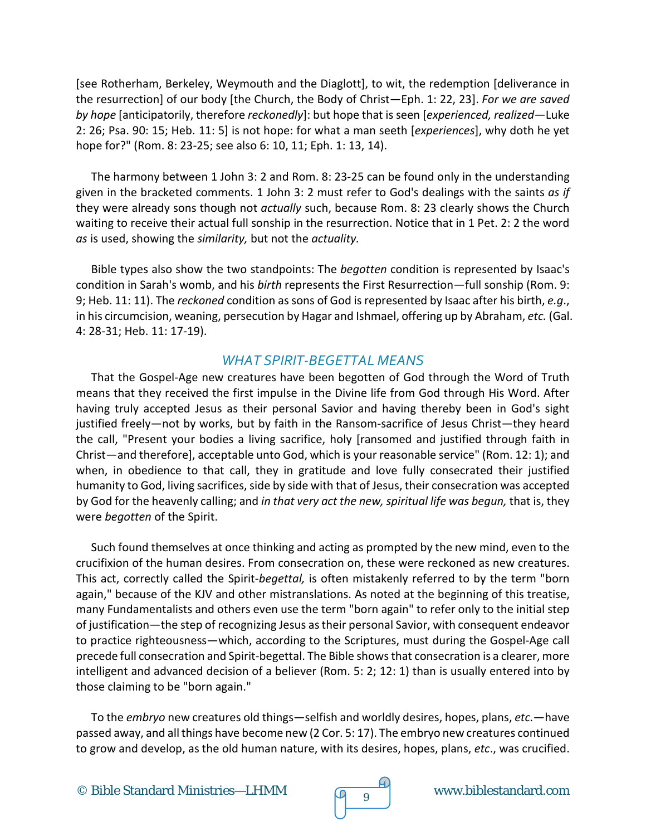[see Rotherham, Berkeley, Weymouth and the Diaglott], to wit, the redemption [deliverance in the resurrection] of our body [the Church, the Body of Christ—Eph. 1: 22, 23]. *For we are saved by hope* [anticipatorily, therefore *reckonedly*]: but hope that is seen [*experienced, realized*—Luke 2: 26; Psa. 90: 15; Heb. 11: 5] is not hope: for what a man seeth [*experiences*], why doth he yet hope for?" (Rom. 8: 23-25; see also 6: 10, 11; Eph. 1: 13, 14).

The harmony between 1 John 3: 2 and Rom. 8: 23-25 can be found only in the understanding given in the bracketed comments. 1 John 3: 2 must refer to God's dealings with the saints *as if*  they were already sons though not *actually* such, because Rom. 8: 23 clearly shows the Church waiting to receive their actual full sonship in the resurrection. Notice that in 1 Pet. 2: 2 the word *as* is used, showing the *similarity,* but not the *actuality.*

Bible types also show the two standpoints: The *begotten* condition is represented by Isaac's condition in Sarah's womb, and his *birth* represents the First Resurrection—full sonship (Rom. 9: 9; Heb. 11: 11). The *reckoned* condition as sons of God is represented by Isaac after his birth, *e.g*., in his circumcision, weaning, persecution by Hagar and Ishmael, offering up by Abraham, *etc.* (Gal. 4: 28-31; Heb. 11: 17-19).

## *WHAT SPIRIT-BEGETTAL MEANS*

That the Gospel-Age new creatures have been begotten of God through the Word of Truth means that they received the first impulse in the Divine life from God through His Word. After having truly accepted Jesus as their personal Savior and having thereby been in God's sight justified freely—not by works, but by faith in the Ransom-sacrifice of Jesus Christ—they heard the call, "Present your bodies a living sacrifice, holy [ransomed and justified through faith in Christ—and therefore], acceptable unto God, which is your reasonable service" (Rom. 12: 1); and when, in obedience to that call, they in gratitude and love fully consecrated their justified humanity to God, living sacrifices, side by side with that of Jesus, their consecration was accepted by God for the heavenly calling; and *in that very act the new, spiritual life was begun,* that is, they were *begotten* of the Spirit.

Such found themselves at once thinking and acting as prompted by the new mind, even to the crucifixion of the human desires. From consecration on, these were reckoned as new creatures. This act, correctly called the Spirit-*begettal,* is often mistakenly referred to by the term "born again," because of the KJV and other mistranslations. As noted at the beginning of this treatise, many Fundamentalists and others even use the term "born again" to refer only to the initial step of justification—the step of recognizing Jesus as their personal Savior, with consequent endeavor to practice righteousness—which, according to the Scriptures, must during the Gospel-Age call precede full consecration and Spirit-begettal. The Bible shows that consecration is a clearer, more intelligent and advanced decision of a believer (Rom. 5: 2; 12: 1) than is usually entered into by those claiming to be "born again."

To the *embryo* new creatures old things—selfish and worldly desires, hopes, plans, *etc.*—have passed away, and all things have become new (2 Cor. 5: 17). The embryo new creatures continued to grow and develop, as the old human nature, with its desires, hopes, plans, *etc*., was crucified.

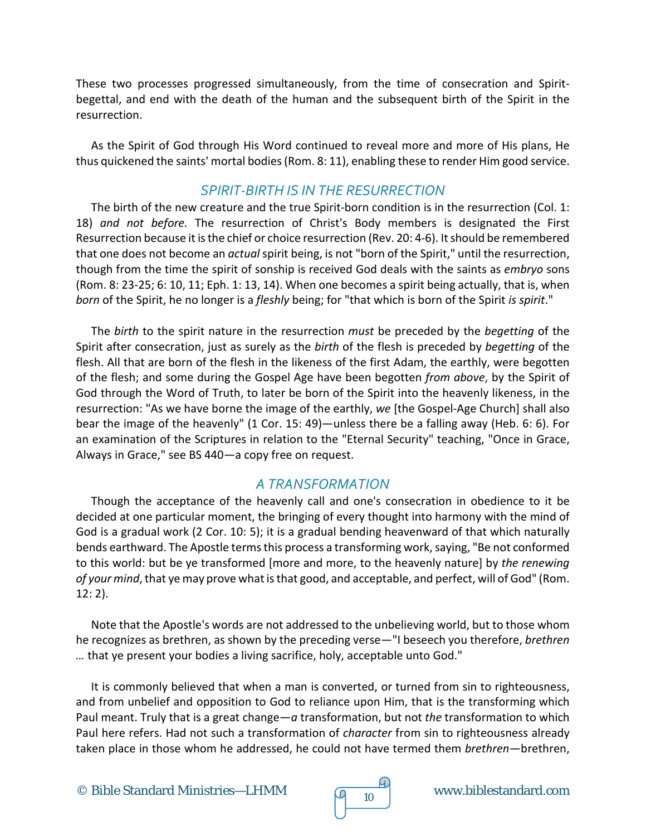These two processes progressed simultaneously, from the time of consecration and Spiritbegettal, and end with the death of the human and the subsequent birth of the Spirit in the resurrection.

As the Spirit of God through His Word continued to reveal more and more of His plans, He thus quickened the saints' mortal bodies (Rom. 8: 11), enabling these to render Him good service.

#### *SPIRIT-BIRTH IS IN THE RESURRECTION*

The birth of the new creature and the true Spirit-born condition is in the resurrection (Col. 1: 18) *and not before.* The resurrection of Christ's Body members is designated the First Resurrection because it is the chief or choice resurrection (Rev. 20: 4-6). It should be remembered that one does not become an *actual* spirit being, is not "born of the Spirit," until the resurrection, though from the time the spirit of sonship is received God deals with the saints as *embryo* sons (Rom. 8: 23-25; 6: 10, 11; Eph. 1: 13, 14). When one becomes a spirit being actually, that is, when *born* of the Spirit, he no longer is a *fleshly* being; for "that which is born of the Spirit *is spirit*."

The *birth* to the spirit nature in the resurrection *must* be preceded by the *begetting* of the Spirit after consecration, just as surely as the *birth* of the flesh is preceded by *begetting* of the flesh. All that are born of the flesh in the likeness of the first Adam, the earthly, were begotten of the flesh; and some during the Gospel Age have been begotten *from above*, by the Spirit of God through the Word of Truth, to later be born of the Spirit into the heavenly likeness, in the resurrection: "As we have borne the image of the earthly, *we* [the Gospel-Age Church] shall also bear the image of the heavenly" (1 Cor. 15: 49)—unless there be a falling away (Heb. 6: 6). For an examination of the Scriptures in relation to the "Eternal Security" teaching, "Once in Grace, Always in Grace," see BS 440—a copy free on request.

## *A TRANSFORMATION*

Though the acceptance of the heavenly call and one's consecration in obedience to it be decided at one particular moment, the bringing of every thought into harmony with the mind of God is a gradual work (2 Cor. 10: 5); it is a gradual bending heavenward of that which naturally bends earthward. The Apostle terms this process a transforming work, saying, "Be not conformed to this world: but be ye transformed [more and more, to the heavenly nature] by *the renewing of your mind*, that ye may prove what is that good, and acceptable, and perfect, will of God" (Rom. 12: 2).

Note that the Apostle's words are not addressed to the unbelieving world, but to those whom he recognizes as brethren, as shown by the preceding verse—"I beseech you therefore, *brethren …* that ye present your bodies a living sacrifice, holy, acceptable unto God."

It is commonly believed that when a man is converted, or turned from sin to righteousness, and from unbelief and opposition to God to reliance upon Him, that is the transforming which Paul meant. Truly that is a great change—*a* transformation, but not *the* transformation to which Paul here refers. Had not such a transformation of *character* from sin to righteousness already taken place in those whom he addressed, he could not have termed them *brethren*—brethren,

© Bible Standard Ministries—LHMM  $\sqrt{9}$  10 www.biblestandard.com

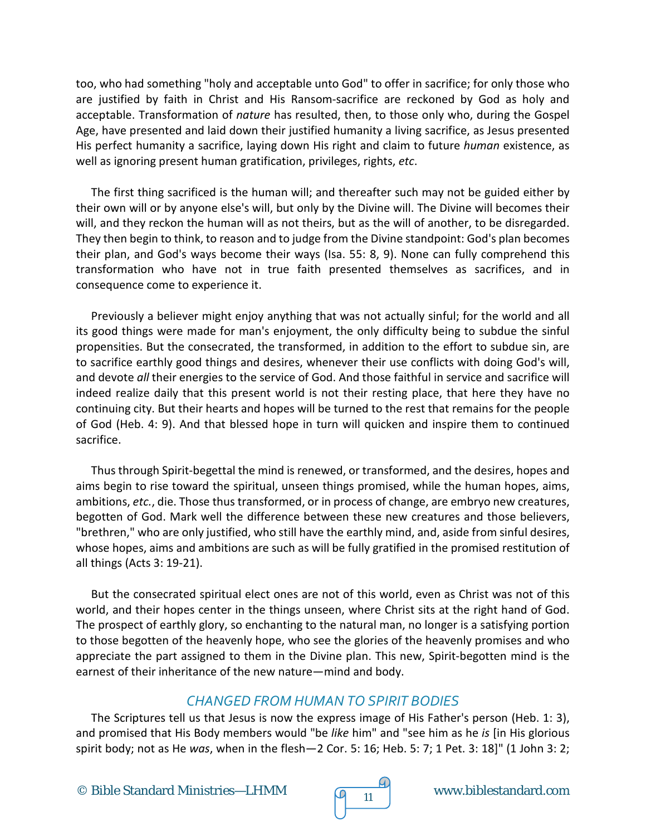too, who had something "holy and acceptable unto God" to offer in sacrifice; for only those who are justified by faith in Christ and His Ransom-sacrifice are reckoned by God as holy and acceptable. Transformation of *nature* has resulted, then, to those only who, during the Gospel Age, have presented and laid down their justified humanity a living sacrifice, as Jesus presented His perfect humanity a sacrifice, laying down His right and claim to future *human* existence, as well as ignoring present human gratification, privileges, rights, *etc*.

The first thing sacrificed is the human will; and thereafter such may not be guided either by their own will or by anyone else's will, but only by the Divine will. The Divine will becomes their will, and they reckon the human will as not theirs, but as the will of another, to be disregarded. They then begin to think, to reason and to judge from the Divine standpoint: God's plan becomes their plan, and God's ways become their ways (Isa. 55: 8, 9). None can fully comprehend this transformation who have not in true faith presented themselves as sacrifices, and in consequence come to experience it.

Previously a believer might enjoy anything that was not actually sinful; for the world and all its good things were made for man's enjoyment, the only difficulty being to subdue the sinful propensities. But the consecrated, the transformed, in addition to the effort to subdue sin, are to sacrifice earthly good things and desires, whenever their use conflicts with doing God's will, and devote *all* their energies to the service of God. And those faithful in service and sacrifice will indeed realize daily that this present world is not their resting place, that here they have no continuing city. But their hearts and hopes will be turned to the rest that remains for the people of God (Heb. 4: 9). And that blessed hope in turn will quicken and inspire them to continued sacrifice.

Thus through Spirit-begettal the mind is renewed, or transformed, and the desires, hopes and aims begin to rise toward the spiritual, unseen things promised, while the human hopes, aims, ambitions, *etc.*, die. Those thus transformed, or in process of change, are embryo new creatures, begotten of God. Mark well the difference between these new creatures and those believers, "brethren," who are only justified, who still have the earthly mind, and, aside from sinful desires, whose hopes, aims and ambitions are such as will be fully gratified in the promised restitution of all things (Acts 3: 19-21).

But the consecrated spiritual elect ones are not of this world, even as Christ was not of this world, and their hopes center in the things unseen, where Christ sits at the right hand of God. The prospect of earthly glory, so enchanting to the natural man, no longer is a satisfying portion to those begotten of the heavenly hope, who see the glories of the heavenly promises and who appreciate the part assigned to them in the Divine plan. This new, Spirit-begotten mind is the earnest of their inheritance of the new nature—mind and body.

# *CHANGED FROM HUMAN TO SPIRIT BODIES*

The Scriptures tell us that Jesus is now the express image of His Father's person (Heb. 1: 3), and promised that His Body members would "be *like* him" and "see him as he *is* [in His glorious spirit body; not as He *was*, when in the flesh—2 Cor. 5: 16; Heb. 5: 7; 1 Pet. 3: 18]" (1 John 3: 2;

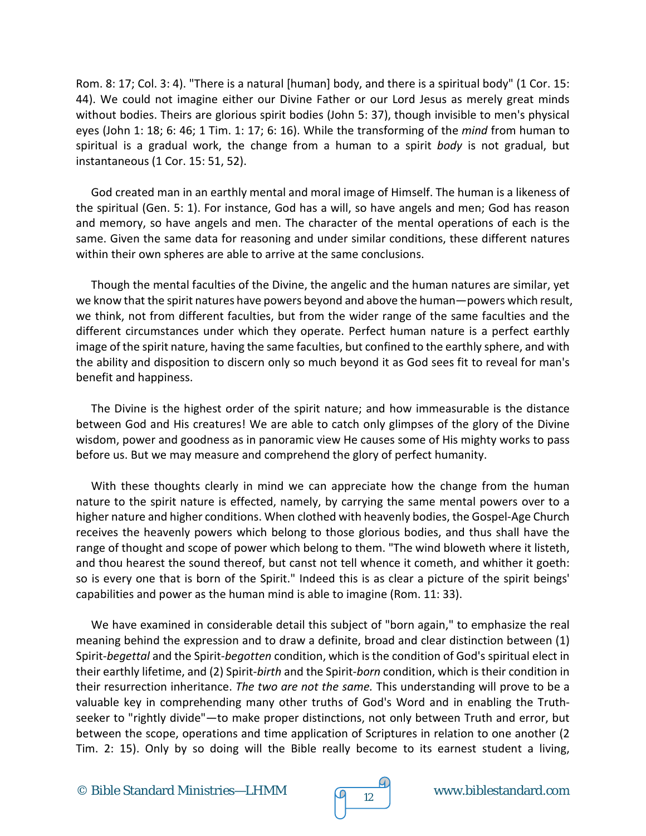Rom. 8: 17; Col. 3: 4). "There is a natural [human] body, and there is a spiritual body" (1 Cor. 15: 44). We could not imagine either our Divine Father or our Lord Jesus as merely great minds without bodies. Theirs are glorious spirit bodies (John 5: 37), though invisible to men's physical eyes (John 1: 18; 6: 46; 1 Tim. 1: 17; 6: 16). While the transforming of the *mind* from human to spiritual is a gradual work, the change from a human to a spirit *body* is not gradual, but instantaneous (1 Cor. 15: 51, 52).

God created man in an earthly mental and moral image of Himself. The human is a likeness of the spiritual (Gen. 5: 1). For instance, God has a will, so have angels and men; God has reason and memory, so have angels and men. The character of the mental operations of each is the same. Given the same data for reasoning and under similar conditions, these different natures within their own spheres are able to arrive at the same conclusions.

Though the mental faculties of the Divine, the angelic and the human natures are similar, yet we know that the spirit natures have powers beyond and above the human—powers which result, we think, not from different faculties, but from the wider range of the same faculties and the different circumstances under which they operate. Perfect human nature is a perfect earthly image of the spirit nature, having the same faculties, but confined to the earthly sphere, and with the ability and disposition to discern only so much beyond it as God sees fit to reveal for man's benefit and happiness.

The Divine is the highest order of the spirit nature; and how immeasurable is the distance between God and His creatures! We are able to catch only glimpses of the glory of the Divine wisdom, power and goodness as in panoramic view He causes some of His mighty works to pass before us. But we may measure and comprehend the glory of perfect humanity.

With these thoughts clearly in mind we can appreciate how the change from the human nature to the spirit nature is effected, namely, by carrying the same mental powers over to a higher nature and higher conditions. When clothed with heavenly bodies, the Gospel-Age Church receives the heavenly powers which belong to those glorious bodies, and thus shall have the range of thought and scope of power which belong to them. "The wind bloweth where it listeth, and thou hearest the sound thereof, but canst not tell whence it cometh, and whither it goeth: so is every one that is born of the Spirit." Indeed this is as clear a picture of the spirit beings' capabilities and power as the human mind is able to imagine (Rom. 11: 33).

We have examined in considerable detail this subject of "born again," to emphasize the real meaning behind the expression and to draw a definite, broad and clear distinction between (1) Spirit-*begettal* and the Spirit-*begotten* condition, which is the condition of God's spiritual elect in their earthly lifetime, and (2) Spirit-*birth* and the Spirit-*born* condition, which is their condition in their resurrection inheritance. *The two are not the same.* This understanding will prove to be a valuable key in comprehending many other truths of God's Word and in enabling the Truthseeker to "rightly divide"—to make proper distinctions, not only between Truth and error, but between the scope, operations and time application of Scriptures in relation to one another (2 Tim. 2: 15). Only by so doing will the Bible really become to its earnest student a living,

© Bible Standard Ministries—LHMM  $\sqrt{q}$  12 www.biblestandard.com